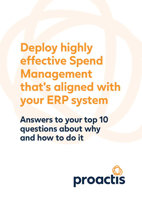# **Deploy highly effective Spend Management that's aligned with your ERP system**

**Answers to your top 10 questions about why and how to do it** 

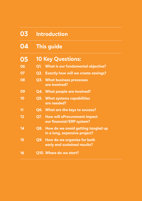| 03 | <b>Introduction</b>                                                     |
|----|-------------------------------------------------------------------------|
| 04 | <b>This guide</b>                                                       |
| 05 | <b>10 Key Questions:</b>                                                |
| 06 | <b>What is our fundamental objective?</b><br>Q1.                        |
| 07 | <b>Q2. Exactly how will we create savings?</b>                          |
| 08 | Q3. What business processes<br>are involved?                            |
| 09 | <b>Q4. What people are involved?</b>                                    |
| 10 | <b>Q5. What systems capabilities</b><br>are needed?                     |
| 11 | Q6. What are the keys to success?                                       |
| 12 | <b>How will eProcurement impact</b><br>Q7.<br>our financial/ERP system? |
| 14 | Q8. How do we avoid getting tangled up<br>in a long, expensive project? |
| 15 | Q9. How do we organize for both<br>early and sustained results?         |
| 16 | Q10. Where do we start?                                                 |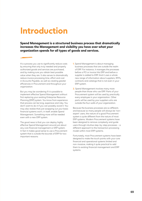## **Introduction**

**Spend Management is a structured business process that dramatically increases the Management and visibility you have over what your organization spends for all types of goods and services.** 

It's a process you use to significantly reduce costs by ensuring that only truly needed and properly authorized goods and services are purchased, and by making sure you obtain best possible value when they are. It also serves to dramatically reduce invoice processing time, effort and cost in Accounts Payable, as well as creating greater efficiencies in Procurement and throughout your organization.

But you may be wondering if it is possible to implement effective Spend Management without first replacing your existing Enterprise Resource Planning (ERP) system. You know from experience that process can be long, expensive and risky. You don't want to do it if you can possibly avoid it. You may also realize that just swapping out your basic financial systems won't, in itself, enable Spend Management. Something more will be needed even with a new ERP system.

The good news is that you can deploy highly effective Spend Management around just about any core financial management or ERP system. In fact it makes good sense to use a Procurement system that is outside the bounds of ERP for two important reasons:

- **1.** Spend Management is about managing business processes that are outside the realm of ERP. For instance, it manages the processes before a PO or invoice hits ERP and before a supplier is added to ERP. And it uses a whole new range of information about suppliers, RFPs, contracts and catalogs that is not even in your ERP system.
- **2.** Spend Management involves many more people than those who use ERP. Parts of your Procurement system will be used by practically every employee in your organization. Other parts will be used by your suppliers who are outside the four walls of your organization.

Because the business processes are so different, and because so many people will always be 'nonexpert' users, the nature of a good Procurement system is quite different from the nature of most ERP systems. Modern Procurement systems have been designed to remove complexity and guide users through intuitive step-by-step processes – a different approach to the transaction processing model within most ERP systems.

Fortunately, most Procurement systems have been designed to make the touch points with your core financial and operational systems limited and non-invasive, making it quite practical to add them to existing financial management and ERP systems.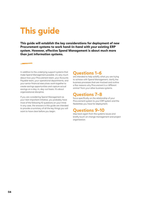## **This guide**

**This guide will establish the key considerations for deployment of new Procurement systems to work hand-in-hand with your existing ERP system. However, effective Spend Management is about much more than just information systems.**

In addition to the underlying support systems that make Spend Management possible, it's very much about how your Procurement team, your Accounts Payable team, your operational departments, and your senior financial executives work together to create savings opportunities and capture actual savings on a day-in, day-out basis. It's about organizational discipline.

If you are considering Spend Management as your next important initiative, you probably have most of the following 10 questions on your mind. In any case, the answers in this guide are intended to provide a summary of all the key things you will want to have clear before you begin:

### **Questions 1-6**

are intended to help solidify what you are trying to achieve with Spend Management, clarify the business processes that are involved and outline a few reasons why Procurement is a 'different animal' from your other business systems.

### **Questions 7-8**

focus specifically on the relationship of your Procurement system to your ERP system and the flexibilities you have for deployment.

### **Questions 9-10**

step back again from the systems issues and briefly touch on change management and project organization.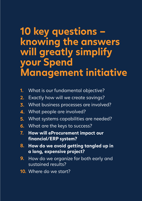## **10 key questions – knowing the answers will greatly simplify your Spend Management initiative**

- **1.** What is our fundamental objective?
- **2.** Exactly how will we create savings?
- **3.** What business processes are involved?
- **4.** What people are involved?
- **5.** What systems capabilities are needed?
- **6.** What are the keys to success?
- **7. How will eProcurement impact our financial/ERP system?**
- **8. How do we avoid getting tangled up in a long, expensive project?**
- **9.** How do we organize for both early and sustained results?
- **10.** Where do we start?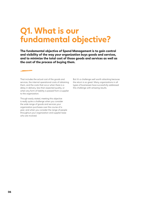## **Q1. What is our fundamental objective?**

**The fundamental objective of Spend Management is to gain control and visibility of the way your organization buys goods and services, and to minimize the total cost of those goods and services as well as the cost of the process of buying them.** 

That includes the actual cost of the goods and services, the internal operational costs of obtaining them, and the costs that occur when there is a delay in delivery, less than expected quality, or when any form of liability is passed from a supplier to the organization.

Though easily stated, meeting this objective is really quite a challenge when you consider the wide range of goods and services your organization purchases over the course of a year, and when you consider the range of people throughout your organization and supplier base who are involved.

But it's a challenge well worth attacking because the return is so great. Many organizations in all types of businesses have successfully addressed this challenge with amazing results.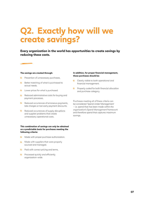## **Q2. Exactly how will we create savings?**

**Every organization in the world has opportunities to create savings by reducing these costs.**

#### **The savings are created through:**

- Prevention of unnecessary purchases. ക
- Better matching of what is purchased to  $\circledcirc$ actual needs.
- **Q** Lower prices for what is purchased.
- **C** Reduced administrative costs for buying and payment processes.
- <sup>©</sup> Reduced occurrences of erroneous payments, late charges or lost early payment discounts.
- <sup>©</sup> Reduced occurrences of supply disruptions and supplier problems that create unnecessary operational costs.

#### **This combination of savings can only be obtained on a predictable basis for purchases meeting the following criteria:**

- Made with proper purchase authorization.  $\circledcirc$
- Made with suppliers that were properly  $\circledcirc$ sourced and managed.
- **Q** Paid with correct pricing and terms.
- **Q** Processed quickly and efficiently organization-wide.

#### **In addition, for proper financial management, those purchases should be:**

- $\mathbb{C}$ Clearly visible to both operational and financial management.
- **C** Properly coded for both financial allocation and purchase category.

Purchases meeting all of these criteria can be considered 'Spend Under Management' – i.e. spend that has been made within the organization's Spend Management framework and therefore spend that captures maximum savings.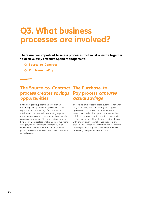## **Q3. What business processes are involved?**

**There are two important business processes that must operate together to achieve truly effective Spend Management:**

- **Source-to-Contract**
- **Purchase-to-Pay**

### **The Source-to-Contract The Purchase-toprocess creates savings Pay process captures opportunities actual savings**

by finding good suppliers and establishing advantageous agreements against which the organization can then buy. Functions within this business process include sourcing, supplier management, contract management and supplier catalog management. This process is performed by procurement professionals and cross-functional category teams working collaboratively with stakeholders across the organization to match goods and services sources of supply to the needs of the business.

by leading employees to place purchases for what they need using those advantageous supplier agreements. Purchases are therefore made at lower prices and with suppliers that present less risk. Ideally, employees still have the opportunity to shop for the best fit for their needs, but always with priority given to established suppliers and agreements. Functions within this business process include purchase request, authorization, invoice processing and payment authorization.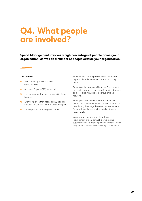## **Q4. What people are involved?**

**Spend Management involves a high percentage of people across your organization, as well as a number of people outside your organization.** 

#### **This includes:**

- $\circledcirc$ Procurement professionals and category teams.
- $\circledcirc$ Accounts Payable (AP) personnel.
- **C** Every manager that has responsibility for a budget.
- **E**very employee that needs to buy goods or contract for services in order to do their jobs.
- **O** Your suppliers; both large and small.

Procurement and AP personnel will use various aspects of the Procurement system on a daily basis.

Operational managers will use the Procurement system to view purchase requests against budgets and cost pipelines, and to approve or reject requests.

Employees from across the organization will interact with the Procurement system to request or directly buy the things they need to do their jobs. Some will use the system frequently; others only occasionally.

Suppliers will interact directly with your Procurement system through a web-based supplier portal. As with employees, some will do so frequently, but most will do so only occasionally.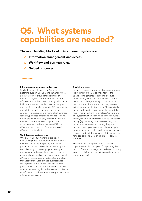## **Q5. What systems capabilities are needed?**

### **The main building blocks of a Procurement system are:**

- **Information management and access.**
- **Workflow and business rules.**
- **Guided processes.**

#### **Information management and access**

Similar to your ERP system, a Procurement system to support Spend Management business processes is built around management of, and access to, base information. Most of that information is probably not currently held in your ERP system, such as the details about supplier qualifications, supplier contracts, RFx documents and related supplier responses, and supplier catalogs. Transactions involve details of purchase requests, purchase orders and invoices – mainly during the time before they are recorded within ERP. Basic information like supplier IDs and G/L account codes are shared between ERP and eProcurement, but most of the information in eProcurement is additive.

### **Workflow and business rules**

Unlike most ERP functions that are about maintaining base information and recording the fact that something happened, Procurement processes are much more about facilitating the flow of activity among employees, managers, procurement professionals, accounts payable personnel and suppliers. For that reason, most of eProcurement is based on automated workflow that uses various user-defined business rules like approval thresholds and routings and on generation of alerts for time-based activities like contract reviews. Highly flexible, easy to configure workflows and business rules are very important in a Procurement system.

#### **Guided processes**

Because employee adoption of an organization's Procurement system is so important to the Spend Management process, and because many employees will be 'non-expert' users that interact with the system only occasionally, it is very important that the functions they use are extremely intuitive, fast and easy. They can't rely on in-depth training classes and they can't take much time away from the employee's actual job. The system must efficiently and correctly 'guide' employees through processes such as self-service buying (e.g. selecting items in a shopping cart), requests for expert assistance (e.g. help with buying a new laptop computer), simple supplier quote requests (e.g. selecting temporary employee services), or detail RFx requirement definitions (e.g. for a capital equipment purchase or IT service contract).

The same types of 'guided process' system capabilities apply to suppliers for updating their own profiles and catalogs, responding to sourcing events or solicitations, submitting certification reconfirmations, etc.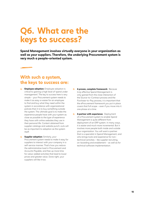## **Q6. What are the keys to success?**

**Spend Management involves virtually everyone in your organization as well as your suppliers. Therefore, the underlying Procurement system is very much a people-oriented system.** 

### **With such a system, the keys to success are:**

- **C** Employee adoption: Employee adoption is critical to gaining a high level of 'spend under management'. The key to success here is very simple – your Procurement system needs to make it as easy or easier for an employee to find and buy what they need within the system in accordance with organizational policies than it is to buy something outside the system. The ultimate goal is to make the experience people have with your system as close as possible to the type of experience they have with online websites they use in their personal life. Content obtained from supplier catalogs and website punch-outs will be as important to adoption as the system itself.
- **Supplier adoption:** Similarly, your  $\circ$ Procurement system needs to make it easy for suppliers to interact with your company in a self-service manner. That's how you reduce the administrative load in Procurement and Accounts Payable, and free up more time for value-added activities that lead to lower prices and greater value. Done right, your suppliers will like it too.
- $\circ$ **A proven, complete framework:** Because truly effective Spend Management is only gained from the close interaction of the Source-to-Contract process and the Purchase-to-Pay process, it is important that the eProcurement framework you put in place covers that full scope – even if you move into it one phase at a time.
- **A partner with experience:** Deployment of a Procurement system to enable Spend Management is quite different from deployment of an ERP system. In many ways, it is easier and much more incremental. But it involves more people both inside and outside your organization. You will want a partner that is a specialist in Spend Management, and who brings tools and experience for nontechnical activities – like supplier recruiting, on-boarding and enablement – as well as for technical software implementation.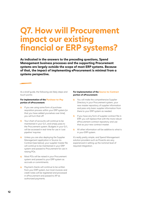## **Q7. How will Procurement impact our existing financial or ERP systems?**

**As indicated in the answers to the preceding questions, Spend Management business processes and the supporting Procurement systems are largely outside the scope of most ERP systems. Because of that, the impact of implementing eProcurement is minimal from a systems perspective.** 

As a brief guide, the following are likely steps and touch points:

#### **For implementation of the Purchase-to-Pay portion of eProcurement:**

- If you are using some form of purchase  $\circ$ requisition process within your ERP system (or that you have added yourselves over time), you will turn that off.
- $\bigcirc$ Your chart of accounts will continue to be maintained in your G/L and simply pass to the Procurement system. Budgets in your G/L will be accessed in real-time for use in 'cost pipeline' inquiries
- **C** Unless you are also deploying the Supplier Management application in Source-to-Contract (see below), your supplier master file will continue to be maintained in your ERP system and passed to Procurement for use in raising POs.
- **6** Most POs will be raised in your Procurement system and passed to your ERP system as accruals or commitments.
- **Q** Payment checks will continue to be written from your ERP system, but most invoices and credit notes will be registered and processed in eProcurement and passed to AP as authorized payments.

#### **For implementation of the Source-to-Contract portion of eProcurement:**

- You will make the comprehensive Supplier  $\circledcirc$ Directory in your Procurement system, your new master repository of supplier information and pass only basic supplier information from there to your ERP system as needed.
- **O** If you have any form of supplier contract file in ERP, you will replace that with the more robust eProcurement contract repository and use that as your new contract master.
- **C** All other information will be additive to what is in your ERP system.

It's really pretty simple, and Spend Management solution providers such as Proactis are very experienced in setting up the nominal level of required integration.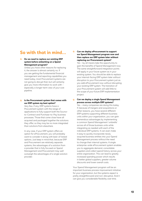### **So with that in mind…**

#### **Do we need to replace our existing ERP system before embarking on a Spend Management program?**

Unless you have other reasons for replacing it, the answer is almost certainly no. If you are getting the fundamental financial management and reporting capabilities you need today, most Procurement systems are not going to disrupt that, but will certainly give you more information to work with – especially a longer-term view of your cost pipeline.

#### **Is the Procurement system that comes with our ERP system my best option?**

Very few, if any, ERP systems have a Procurement system with the range of applications to fully support both the Sourceto-Contract and Purchase-to-Pay business processes. Those that come close have all acquired and packaged together the solutions they offer, so they may be no more integrated than solutions from elsewhere.

In any case, if your ERP system offers an option for eProcurement, you will probably want to consider it along with best-of-breed options. Just keep in mind that, because ERP and Procurement are relatively separate systems, the advantages of a solution from a provider that is fully focused on Spend Management and Procurement may well outweigh the advantages of a single solution provider.

#### **Can we deploy eProcurement to support**   $\circledcirc$ **our Spend Management program now and then replace our ERP system later without replacing our Procurement system?**

Yes – by all means take the opportunity to gain the benefits of Spend Management now. The same straightforward integration points will apply in your future system as in your existing system. You should be able to replace your internal-facing ERP system later without disruption to your Procurement system just as you add eProcurement now without disrupting your existing ERP system. The transition of your Procurement system will add little to the scope of your future ERP implementation project.

#### **Can we deploy a single Spend Management**   $\bigwedge$ **process across multiple ERP systems?**

Yes – many companies are doing this today. If, because of mergers and acquisitions or other reasons, you have several different ERP systems supporting different business units within your organization, you can gain tremendous advantages by implementing a common Spend Management 'umbrella' across all of those business units while integrating as needed with each of the individual ERP systems. It can even make it easy to quickly incorporate newly acquired business entities into your Spend Management process without the need to change their internal systems. A single enterprise-wide eProcurement system enables you to aggregate demand, consolidate suppliers and collect spend history across your entire organization. This can lead to greatly increased spending power which results in better global suppliers, greater volume discounts and lower overall costs.

Your Spend Management program will be an important business process improvement initiative for your organization, but the systems aspect is pretty straightforward and non-disruptive. And it can give you considerable flexibility over time.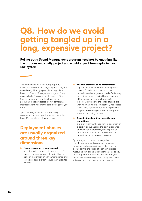## **Q8. How do we avoid getting tangled up in a long, expensive project?**

**Rolling out a Spend Management program need not be anything like the arduous and costly project you would expect from replacing your ERP system.** 

There is no need for a 'big bang' approach where you 'go live' with everything and everyone immediately. Although your ultimate goal is to have your Spend Management program 'firing on all cylinders' by covering all aspects of the Source-to-Contract and Purchase-to-Pay processes, those processes are not completely interdependent, nor are the spend categories you address.

Spend Management roll-outs are easily segmented into manageable mini-projects that have ROI associated with each step.

### **Deployment phases are usually organized around three key dimensions:**

### **Spend categories to be addressed:** e.g. start with a single category such as IT spend or a grouping of categories that are similar; move through all your categories and associated suppliers in sequence of expected savings.

### **Business processes to be implemented:** e.g. start with the Purchase-to-Pay process to get a foundation of solid purchase authorization Managements and AP efficiency gains, then move on to tackle each element of the Source-to-Contract process to incrementally expand the range of suppliers with whom you have competitively negotiated cost-saving agreements, and to improve the supplier and catalog information integrated into the purchasing process.

 $\circledcirc$ **Organizational entities to use the new capabilities:**

e.g. start with your headquarters operation or a particular business unit to gain experience and refine your processes, then expand to all your branch locations and business units around the world one step at a time.

By making each phase a manageable combination of spend categories, business processes and organizational entities, you can closely control the scope of each mini project, measuring results and making refinements as you go. Using this approach, you will find that you realize increased savings on a steady basis with little organizational trauma or business risk.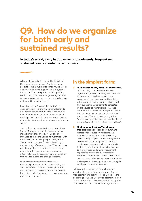### **Q9. How do we organize for both early and sustained results?**

**In today's world, every initiative needs to gain early, frequent and sustained results in order to be a success.** 

A ComputerWorld article titled The Rebirth of Re-Engineering said it well: "Unlike the megaprojects of the 1990s that spanned multiple years and revolved around big honking ERP systems that cost millions and produced disappointing results, today's process re-engineering initiatives feature multiple quick-hit projects, many born out of (focused innovation teams)."

It went on to say: "In a nutshell, today's reengineering is not a one-time event. Rather, it's an ongoing endeavor that involves continually refining and enhancing the hundreds of end-toend steps involved in (a complete process). What it's not about is the software that automates those steps."

That's why many organizations are organizing Spend Management initiatives around focused management of its two key 'value streams' – Purchase-to-Pay and Source-to-Contract – with a business person taking responsibility as the Value Stream Manager for each. According to the previously referenced article: "When you have people organized around the processes being delivered rather than silos, those people are attentive to how the processes operate and how they need to evolve and change over time."

With a clear understanding of the interrelationship between the Purchase-to-Pay and Source-to-Contract cycles, it is easy for these two important processes to progress in parallel, leveraging each other to increase savings at every phase along the way.

### **In the simplest form:**

- **The Purchase-to-Pay Value Stream Manager,**  $\circledcirc$ quite possibly someone in the Finance organization, focuses on using eProcurement to create a standardized process that everyone will use to request and buy things within corporate authorization policies, and from suppliers and agreements generated by the Source-to-Contract process. That establishes the framework to capture savings from all the opportunities created in Sourceto-Contract. The Purchase-to-Pay Value Stream Manager also focuses on realization of the significant efficiency gains to be had in AP.
- **The Source-to-Contract Value Stream Manager,** probably a senior procurement professional, focuses on increasing the range of spend categories for which they obtain quality suppliers and well-negotiated agreements. In that way they continually create more and more savings opportunities for the organization to utilize in the Purchaseto-Pay process. Underlying Procurement capabilities are used to incorporate the contracts, catalogs and websites associated with those suppliers directly into the Purchaseto-Pay process in a way that makes it easy for employees to see and use them.

In this way, the two Value Stream Managers work together on the 'ying and yang' of Spend Management and together steadily increase the percentage of Spend Under Management. That, in turn, increases the cost savings and risk mitigation that creates so much value for the organization.